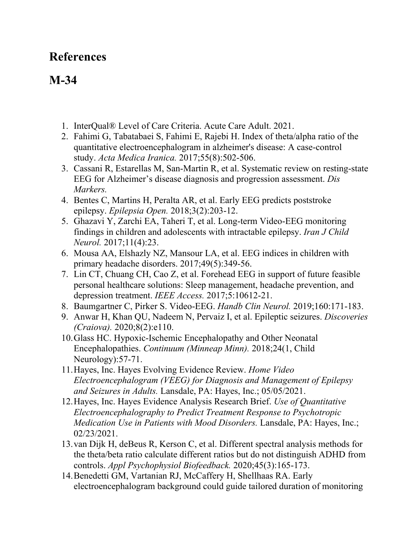## **References**

## **M-34**

- 1. InterQual® Level of Care Criteria. Acute Care Adult. 2021.
- 2. Fahimi G, Tabatabaei S, Fahimi E, Rajebi H. Index of theta/alpha ratio of the quantitative electroencephalogram in alzheimer's disease: A case-control study. *Acta Medica Iranica.* 2017;55(8):502-506.
- 3. Cassani R, Estarellas M, San-Martin R, et al. Systematic review on resting-state EEG for Alzheimer's disease diagnosis and progression assessment. *Dis Markers.*
- 4. Bentes C, Martins H, Peralta AR, et al. Early EEG predicts poststroke epilepsy. *Epilepsia Open.* 2018;3(2):203-12.
- 5. Ghazavi Y, Zarchi EA, Taheri T, et al. Long-term Video-EEG monitoring findings in children and adolescents with intractable epilepsy. *Iran J Child Neurol.* 2017;11(4):23.
- 6. Mousa AA, Elshazly NZ, Mansour LA, et al. EEG indices in children with primary headache disorders. 2017;49(5):349-56.
- 7. Lin CT, Chuang CH, Cao Z, et al. Forehead EEG in support of future feasible personal healthcare solutions: Sleep management, headache prevention, and depression treatment. *IEEE Access.* 2017;5:10612-21.
- 8. Baumgartner C, Pirker S. Video-EEG. *Handb Clin Neurol.* 2019;160:171-183.
- 9. Anwar H, Khan QU, Nadeem N, Pervaiz I, et al. Epileptic seizures. *Discoveries (Craiova).* 2020;8(2):e110.
- 10.Glass HC. Hypoxic-Ischemic Encephalopathy and Other Neonatal Encephalopathies. *Continuum (Minneap Minn).* 2018;24(1, Child Neurology):57-71.
- 11.Hayes, Inc. Hayes Evolving Evidence Review. *Home Video Electroencephalogram (VEEG) for Diagnosis and Management of Epilepsy and Seizures in Adults.* Lansdale, PA: Hayes, Inc.; 05/05/2021.
- 12.Hayes, Inc. Hayes Evidence Analysis Research Brief. *Use of Quantitative Electroencephalography to Predict Treatment Response to Psychotropic Medication Use in Patients with Mood Disorders.* Lansdale, PA: Hayes, Inc.; 02/23/2021.
- 13.van Dijk H, deBeus R, Kerson C, et al. Different spectral analysis methods for the theta/beta ratio calculate different ratios but do not distinguish ADHD from controls. *Appl Psychophysiol Biofeedback.* 2020;45(3):165-173.
- 14.Benedetti GM, Vartanian RJ, McCaffery H, Shellhaas RA. Early electroencephalogram background could guide tailored duration of monitoring